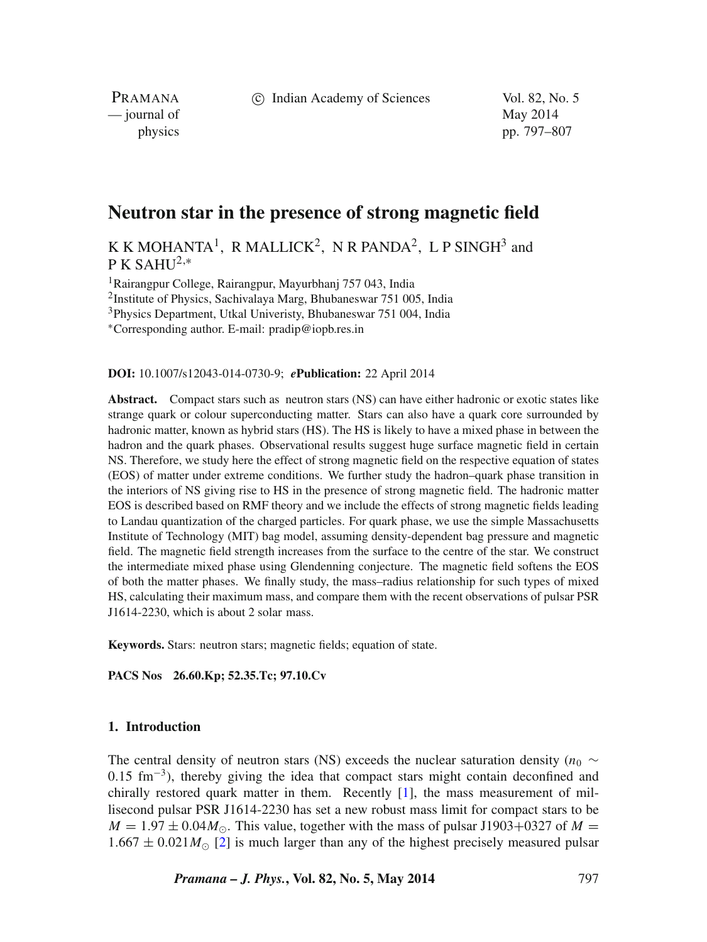c Indian Academy of Sciences Vol. 82, No. 5

PRAMANA — journal of May 2014

physics pp. 797–807

# **Neutron star in the presence of strong magnetic field**

K K MOHANTA<sup>1</sup>, R MALLICK<sup>2</sup>, N R PANDA<sup>2</sup>, L P SINGH<sup>3</sup> and  $P K SAHI<sup>2,*</sup>$ 

1Rairangpur College, Rairangpur, Mayurbhanj 757 043, India

2Institute of Physics, Sachivalaya Marg, Bhubaneswar 751 005, India

3Physics Department, Utkal Univeristy, Bhubaneswar 751 004, India

∗Corresponding author. E-mail: pradip@iopb.res.in

**DOI:** 10.1007/s12043-014-0730-9; *e***Publication:** 22 April 2014

Abstract. Compact stars such as neutron stars (NS) can have either hadronic or exotic states like strange quark or colour superconducting matter. Stars can also have a quark core surrounded by hadronic matter, known as hybrid stars (HS). The HS is likely to have a mixed phase in between the hadron and the quark phases. Observational results suggest huge surface magnetic field in certain NS. Therefore, we study here the effect of strong magnetic field on the respective equation of states (EOS) of matter under extreme conditions. We further study the hadron–quark phase transition in the interiors of NS giving rise to HS in the presence of strong magnetic field. The hadronic matter EOS is described based on RMF theory and we include the effects of strong magnetic fields leading to Landau quantization of the charged particles. For quark phase, we use the simple Massachusetts Institute of Technology (MIT) bag model, assuming density-dependent bag pressure and magnetic field. The magnetic field strength increases from the surface to the centre of the star. We construct the intermediate mixed phase using Glendenning conjecture. The magnetic field softens the EOS of both the matter phases. We finally study, the mass–radius relationship for such types of mixed HS, calculating their maximum mass, and compare them with the recent observations of pulsar PSR J1614-2230, which is about 2 solar mass.

**Keywords.** Stars: neutron stars; magnetic fields; equation of state.

**PACS Nos 26.60.Kp; 52.35.Tc; 97.10.Cv**

# **1. Introduction**

The central density of neutron stars (NS) exceeds the nuclear saturation density ( $n<sub>0</sub>$  ∼ 0*.*15 fm−3), thereby giving the idea that compact stars might contain deconfined and chirally restored quark matter in them. Recently [\[1\]](#page-9-0), the mass measurement of millisecond pulsar PSR J1614-2230 has set a new robust mass limit for compact stars to be  $M = 1.97 \pm 0.04 M_{\odot}$ . This value, together with the mass of pulsar J1903+0327 of  $M =$  $1.667 \pm 0.021 M_{\odot}$  [\[2\]](#page-9-1) is much larger than any of the highest precisely measured pulsar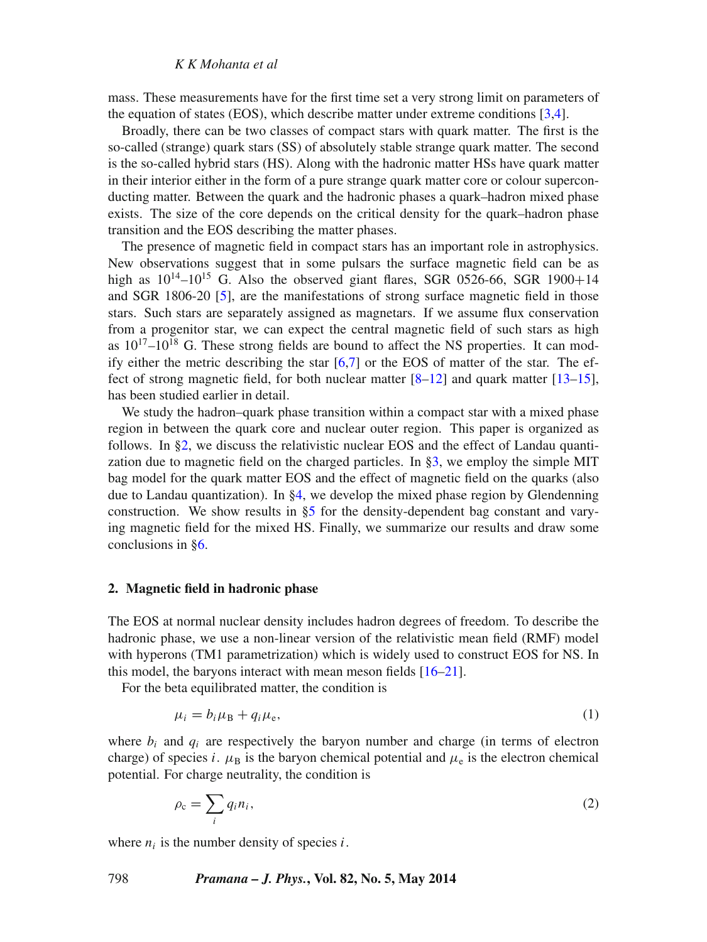# *K K Mohanta et al*

mass. These measurements have for the first time set a very strong limit on parameters of the equation of states (EOS), which describe matter under extreme conditions [\[3,](#page-9-2)[4\]](#page-9-3).

Broadly, there can be two classes of compact stars with quark matter. The first is the so-called (strange) quark stars (SS) of absolutely stable strange quark matter. The second is the so-called hybrid stars (HS). Along with the hadronic matter HSs have quark matter in their interior either in the form of a pure strange quark matter core or colour superconducting matter. Between the quark and the hadronic phases a quark–hadron mixed phase exists. The size of the core depends on the critical density for the quark–hadron phase transition and the EOS describing the matter phases.

The presence of magnetic field in compact stars has an important role in astrophysics. New observations suggest that in some pulsars the surface magnetic field can be as high as  $10^{14}$ - $10^{15}$  G. Also the observed giant flares, SGR 0526-66, SGR 1900+14 and SGR 1806-20 [\[5\]](#page-9-4), are the manifestations of strong surface magnetic field in those stars. Such stars are separately assigned as magnetars. If we assume flux conservation from a progenitor star, we can expect the central magnetic field of such stars as high as  $10^{17}$ – $10^{18}$  G. These strong fields are bound to affect the NS properties. It can modify either the metric describing the star  $[6,7]$  $[6,7]$  or the EOS of matter of the star. The effect of strong magnetic field, for both nuclear matter  $[8-12]$  $[8-12]$  and quark matter  $[13-15]$  $[13-15]$ , has been studied earlier in detail.

We study the hadron–quark phase transition within a compact star with a mixed phase region in between the quark core and nuclear outer region. This paper is organized as follows. In [§2,](#page-1-0) we discuss the relativistic nuclear EOS and the effect of Landau quantization due to magnetic field on the charged particles. In [§3,](#page-2-0) we employ the simple MIT bag model for the quark matter EOS and the effect of magnetic field on the quarks (also due to Landau quantization). In  $\S 4$ , we develop the mixed phase region by Glendenning construction. We show results in  $\S5$  for the density-dependent bag constant and varying magnetic field for the mixed HS. Finally, we summarize our results and draw some conclusions in [§6.](#page-8-0)

# <span id="page-1-0"></span>**2. Magnetic field in hadronic phase**

The EOS at normal nuclear density includes hadron degrees of freedom. To describe the hadronic phase, we use a non-linear version of the relativistic mean field (RMF) model with hyperons (TM1 parametrization) which is widely used to construct EOS for NS. In this model, the baryons interact with mean meson fields [\[16–](#page-9-11)[21\]](#page-10-0).

For the beta equilibrated matter, the condition is

$$
\mu_i = b_i \mu_B + q_i \mu_e,\tag{1}
$$

where  $b_i$  and  $q_i$  are respectively the baryon number and charge (in terms of electron charge) of species *i*.  $\mu_B$  is the baryon chemical potential and  $\mu_e$  is the electron chemical potential. For charge neutrality, the condition is

$$
\rho_{\rm c} = \sum_{i} q_i n_i,\tag{2}
$$

where  $n_i$  is the number density of species *i*.

798 *Pramana – J. Phys.***, Vol. 82, No. 5, May 2014**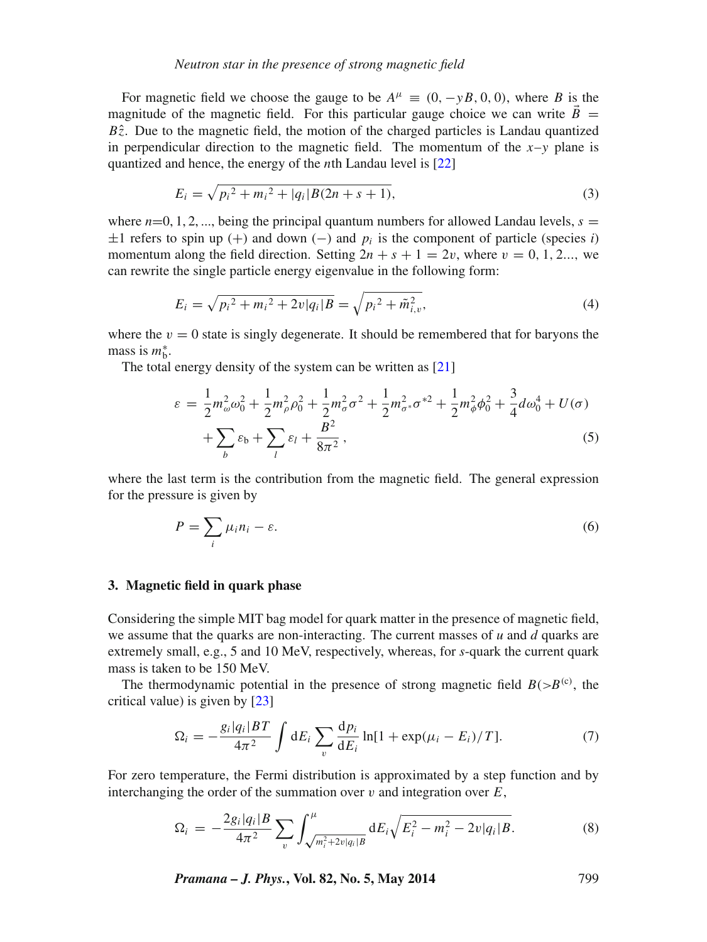# *Neutron star in the presence of strong magnetic field*

For magnetic field we choose the gauge to be  $A^{\mu} \equiv (0, -\gamma B, 0, 0)$ , where *B* is the magnitude of the magnetic field. For this particular gauge choice we can write  $\vec{B}$  =  $B\hat{z}$ . Due to the magnetic field, the motion of the charged particles is Landau quantized in perpendicular direction to the magnetic field. The momentum of the  $x-y$  plane is quantized and hence, the energy of the *n*th Landau level is [\[22\]](#page-10-1)

$$
E_i = \sqrt{p_i^2 + m_i^2 + |q_i| B(2n + s + 1)},
$$
\n(3)

where  $n=0, 1, 2, \dots$ , being the principal quantum numbers for allowed Landau levels,  $s =$  $\pm 1$  refers to spin up (+) and down (−) and  $p_i$  is the component of particle (species *i*) momentum along the field direction. Setting  $2n + s + 1 = 2v$ , where  $v = 0, 1, 2...$ , we can rewrite the single particle energy eigenvalue in the following form:

$$
E_i = \sqrt{p_i^2 + m_i^2 + 2v|q_i|B} = \sqrt{p_i^2 + \tilde{m}_{i,v}^2},\tag{4}
$$

where the  $v = 0$  state is singly degenerate. It should be remembered that for baryons the mass is *m*<sup>∗</sup> b.

The total energy density of the system can be written as [\[21\]](#page-10-0)

$$
\varepsilon = \frac{1}{2} m_{\omega}^{2} \omega_{0}^{2} + \frac{1}{2} m_{\rho}^{2} \rho_{0}^{2} + \frac{1}{2} m_{\sigma}^{2} \sigma^{2} + \frac{1}{2} m_{\sigma^{*}}^{2} \sigma^{*2} + \frac{1}{2} m_{\phi}^{2} \phi_{0}^{2} + \frac{3}{4} d \omega_{0}^{4} + U(\sigma) + \sum_{b} \varepsilon_{b} + \sum_{l} \varepsilon_{l} + \frac{B^{2}}{8\pi^{2}},
$$
\n(5)

where the last term is the contribution from the magnetic field. The general expression for the pressure is given by

$$
P = \sum_{i} \mu_i n_i - \varepsilon. \tag{6}
$$

# <span id="page-2-0"></span>**3. Magnetic field in quark phase**

Considering the simple MIT bag model for quark matter in the presence of magnetic field, we assume that the quarks are non-interacting. The current masses of *u* and *d* quarks are extremely small, e.g., 5 and 10 MeV, respectively, whereas, for *s*-quark the current quark mass is taken to be 150 MeV.

The thermodynamic potential in the presence of strong magnetic field  $B(>B<sup>(c)</sup>)$ , the critical value) is given by [\[23\]](#page-10-2)

$$
\Omega_i = -\frac{g_i|q_i|BT}{4\pi^2} \int dE_i \sum_v \frac{dp_i}{dE_i} \ln[1 + \exp(\mu_i - E_i)/T]. \tag{7}
$$

For zero temperature, the Fermi distribution is approximated by a step function and by interchanging the order of the summation over *v* and integration over *E*,

$$
\Omega_i = -\frac{2g_i|q_i|B}{4\pi^2} \sum_{v} \int_{\sqrt{m_i^2 + 2v|q_i|B}}^{\mu} dE_i \sqrt{E_i^2 - m_i^2 - 2v|q_i|B}.
$$
 (8)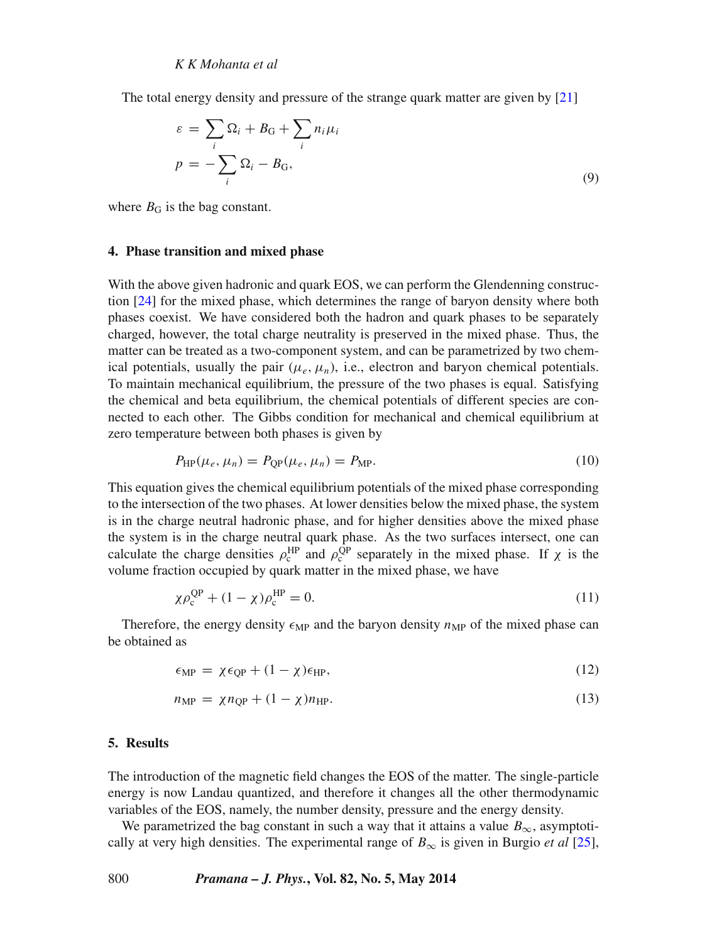The total energy density and pressure of the strange quark matter are given by [\[21\]](#page-10-0)

$$
\varepsilon = \sum_{i} \Omega_{i} + B_{G} + \sum_{i} n_{i} \mu_{i}
$$
  

$$
p = -\sum_{i} \Omega_{i} - B_{G},
$$
 (9)

where  $B<sub>G</sub>$  is the bag constant.

## <span id="page-3-0"></span>**4. Phase transition and mixed phase**

With the above given hadronic and quark EOS, we can perform the Glendenning construction [\[24\]](#page-10-3) for the mixed phase, which determines the range of baryon density where both phases coexist. We have considered both the hadron and quark phases to be separately charged, however, the total charge neutrality is preserved in the mixed phase. Thus, the matter can be treated as a two-component system, and can be parametrized by two chemical potentials, usually the pair  $(\mu_e, \mu_n)$ , i.e., electron and baryon chemical potentials. To maintain mechanical equilibrium, the pressure of the two phases is equal. Satisfying the chemical and beta equilibrium, the chemical potentials of different species are connected to each other. The Gibbs condition for mechanical and chemical equilibrium at zero temperature between both phases is given by

$$
P_{\rm HP}(\mu_e, \mu_n) = P_{\rm QP}(\mu_e, \mu_n) = P_{\rm MP}.\tag{10}
$$

This equation gives the chemical equilibrium potentials of the mixed phase corresponding to the intersection of the two phases. At lower densities below the mixed phase, the system is in the charge neutral hadronic phase, and for higher densities above the mixed phase the system is in the charge neutral quark phase. As the two surfaces intersect, one can calculate the charge densities  $\rho_c^{\text{HP}}$  and  $\rho_c^{\text{QP}}$  separately in the mixed phase. If  $\chi$  is the volume fraction occupied by quark matter in the mixed phase, we have

$$
\chi \rho_c^{\rm QP} + (1 - \chi) \rho_c^{\rm HP} = 0. \tag{11}
$$

Therefore, the energy density  $\epsilon_{MP}$  and the baryon density  $n_{MP}$  of the mixed phase can be obtained as

$$
\epsilon_{\rm MP} = \chi \epsilon_{\rm QP} + (1 - \chi) \epsilon_{\rm HP},\tag{12}
$$

$$
n_{\rm MP} = \chi n_{\rm QP} + (1 - \chi)n_{\rm HP}.\tag{13}
$$

#### <span id="page-3-1"></span>**5. Results**

The introduction of the magnetic field changes the EOS of the matter. The single-particle energy is now Landau quantized, and therefore it changes all the other thermodynamic variables of the EOS, namely, the number density, pressure and the energy density.

We parametrized the bag constant in such a way that it attains a value  $B_{\infty}$ , asymptotically at very high densities. The experimental range of  $B_{\infty}$  is given in Burgio *et al* [\[25\]](#page-10-4),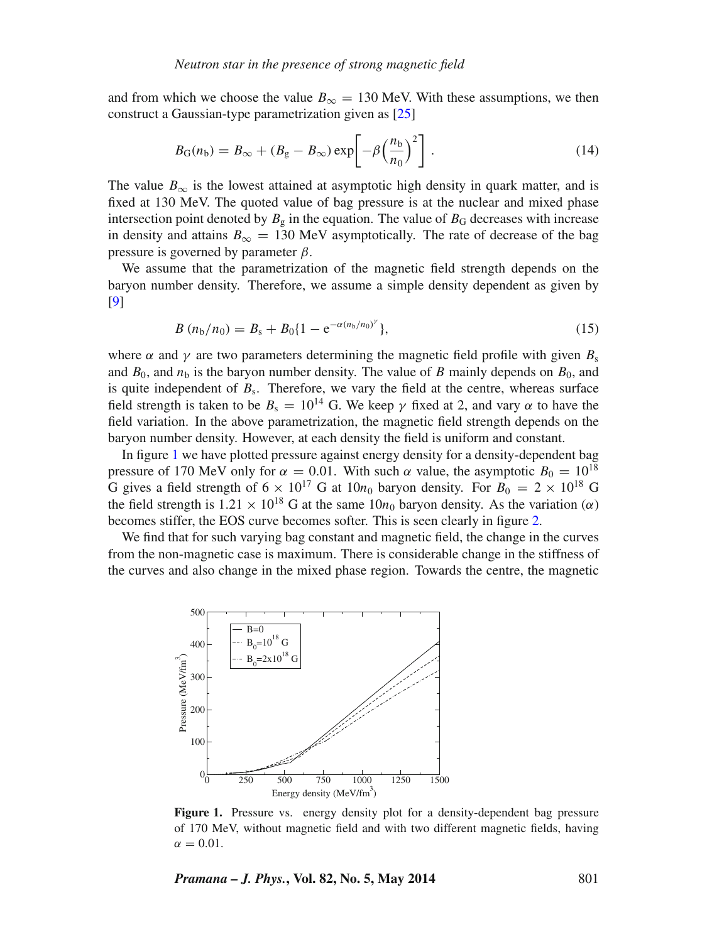and from which we choose the value  $B_{\infty} = 130$  MeV. With these assumptions, we then construct a Gaussian-type parametrization given as [\[25\]](#page-10-4)

$$
B_{\rm G}(n_{\rm b}) = B_{\infty} + (B_{\rm g} - B_{\infty}) \exp\left[-\beta \left(\frac{n_{\rm b}}{n_0}\right)^2\right].
$$
 (14)

The value  $B_{\infty}$  is the lowest attained at asymptotic high density in quark matter, and is fixed at 130 MeV. The quoted value of bag pressure is at the nuclear and mixed phase intersection point denoted by  $B_g$  in the equation. The value of  $B_G$  decreases with increase in density and attains  $B_{\infty} = 130$  MeV asymptotically. The rate of decrease of the bag pressure is governed by parameter *β*.

We assume that the parametrization of the magnetic field strength depends on the baryon number density. Therefore, we assume a simple density dependent as given by [\[9\]](#page-9-12)

$$
B(n_b/n_0) = B_s + B_0 \{1 - e^{-\alpha(n_b/n_0)^{\gamma}}\},
$$
\n(15)

where  $\alpha$  and  $\gamma$  are two parameters determining the magnetic field profile with given  $B_s$ and  $B_0$ , and  $n<sub>b</sub>$  is the baryon number density. The value of *B* mainly depends on  $B_0$ , and is quite independent of  $B_s$ . Therefore, we vary the field at the centre, whereas surface field strength is taken to be  $B_s = 10^{14}$  G. We keep  $\gamma$  fixed at 2, and vary  $\alpha$  to have the field variation. In the above parametrization, the magnetic field strength depends on the baryon number density. However, at each density the field is uniform and constant.

In figure [1](#page-4-0) we have plotted pressure against energy density for a density-dependent bag pressure of 170 MeV only for  $\alpha = 0.01$ . With such *α* value, the asymptotic  $B_0 = 10^{18}$ G gives a field strength of  $6 \times 10^{17}$  G at  $10n_0$  baryon density. For  $B_0 = 2 \times 10^{18}$  G the field strength is  $1.21 \times 10^{18}$  G at the same  $10n_0$  baryon density. As the variation ( $\alpha$ ) becomes stiffer, the EOS curve becomes softer. This is seen clearly in figure [2.](#page-5-0)

We find that for such varying bag constant and magnetic field, the change in the curves from the non-magnetic case is maximum. There is considerable change in the stiffness of the curves and also change in the mixed phase region. Towards the centre, the magnetic

<span id="page-4-0"></span>

**Figure 1.** Pressure vs. energy density plot for a density-dependent bag pressure of 170 MeV, without magnetic field and with two different magnetic fields, having  $\alpha = 0.01$ .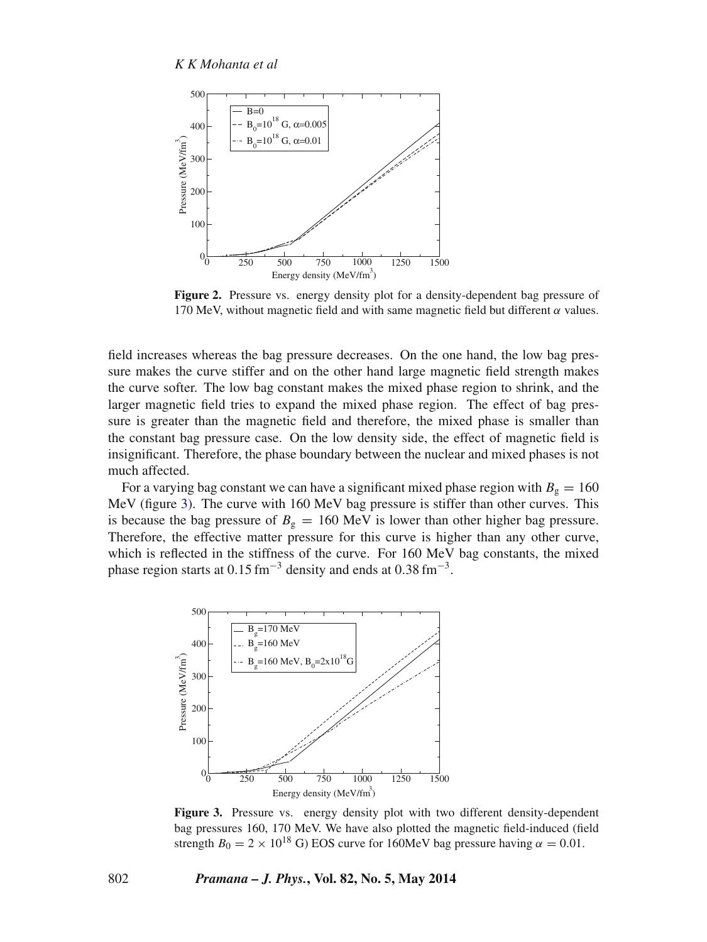<span id="page-5-0"></span>

**Figure 2.** Pressure vs. energy density plot for a density-dependent bag pressure of 170 MeV, without magnetic field and with same magnetic field but different  $\alpha$  values.

field increases whereas the bag pressure decreases. On the one hand, the low bag pressure makes the curve stiffer and on the other hand large magnetic field strength makes the curve softer. The low bag constant makes the mixed phase region to shrink, and the larger magnetic field tries to expand the mixed phase region. The effect of bag pressure is greater than the magnetic field and therefore, the mixed phase is smaller than the constant bag pressure case. On the low density side, the effect of magnetic field is insignificant. Therefore, the phase boundary between the nuclear and mixed phases is not much affected.

For a varying bag constant we can have a significant mixed phase region with  $B_g = 160$ MeV (figure [3\)](#page-5-1). The curve with 160 MeV bag pressure is stiffer than other curves. This is because the bag pressure of  $B<sub>g</sub> = 160$  MeV is lower than other higher bag pressure. Therefore, the effective matter pressure for this curve is higher than any other curve, which is reflected in the stiffness of the curve. For 160 MeV bag constants, the mixed phase region starts at 0*.*15 fm−<sup>3</sup> density and ends at 0*.*38 fm−<sup>3</sup> .

<span id="page-5-1"></span>

**Figure 3.** Pressure vs. energy density plot with two different density-dependent bag pressures 160, 170 MeV. We have also plotted the magnetic field-induced (field strength  $B_0 = 2 \times 10^{18}$  G) EOS curve for 160MeV bag pressure having  $\alpha = 0.01$ .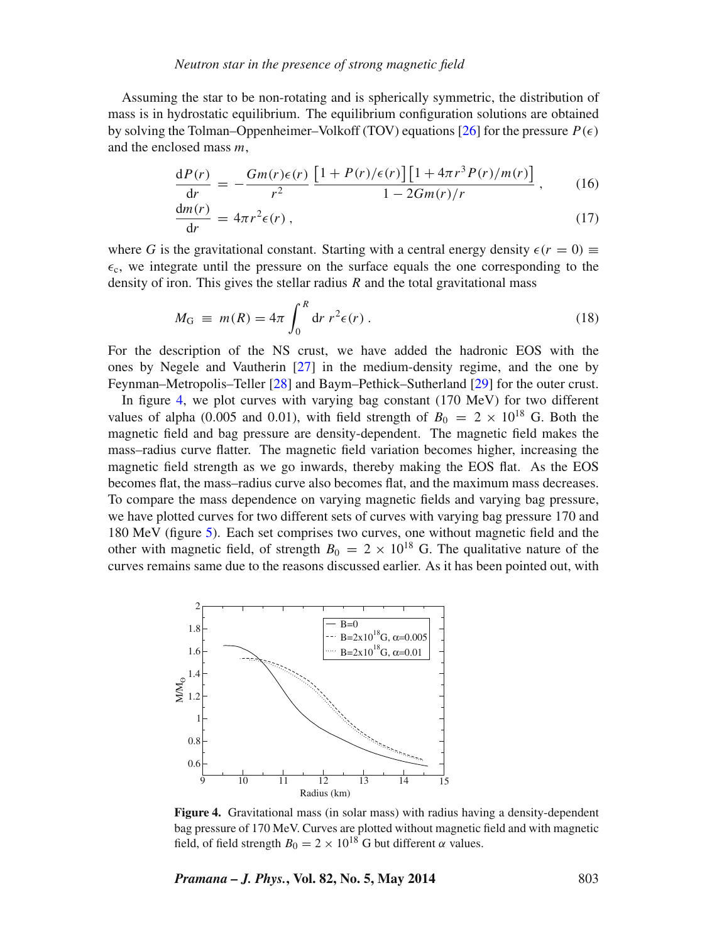# *Neutron star in the presence of strong magnetic field*

Assuming the star to be non-rotating and is spherically symmetric, the distribution of mass is in hydrostatic equilibrium. The equilibrium configuration solutions are obtained by solving the Tolman–Oppenheimer–Volkoff (TOV) equations  $[26]$  for the pressure  $P(\epsilon)$ and the enclosed mass *m*,

$$
\frac{dP(r)}{dr} = -\frac{Gm(r)\epsilon(r)}{r^2} \frac{\left[1 + P(r)/\epsilon(r)\right] \left[1 + 4\pi r^3 P(r)/m(r)\right]}{1 - 2Gm(r)/r},\qquad(16)
$$

$$
\frac{\mathrm{d}m(r)}{\mathrm{d}r} = 4\pi r^2 \epsilon(r) , \qquad (17)
$$

where *G* is the gravitational constant. Starting with a central energy density  $\epsilon(r = 0) \equiv$  $\epsilon_c$ , we integrate until the pressure on the surface equals the one corresponding to the density of iron. This gives the stellar radius *R* and the total gravitational mass

$$
M_{\rm G} \equiv m(R) = 4\pi \int_0^R dr \, r^2 \epsilon(r) \,. \tag{18}
$$

For the description of the NS crust, we have added the hadronic EOS with the ones by Negele and Vautherin [\[27\]](#page-10-6) in the medium-density regime, and the one by Feynman–Metropolis–Teller [\[28\]](#page-10-7) and Baym–Pethick–Sutherland [\[29\]](#page-10-8) for the outer crust.

In figure [4,](#page-6-0) we plot curves with varying bag constant (170 MeV) for two different values of alpha (0.005 and 0.01), with field strength of  $B_0 = 2 \times 10^{18}$  G. Both the magnetic field and bag pressure are density-dependent. The magnetic field makes the mass–radius curve flatter. The magnetic field variation becomes higher, increasing the magnetic field strength as we go inwards, thereby making the EOS flat. As the EOS becomes flat, the mass–radius curve also becomes flat, and the maximum mass decreases. To compare the mass dependence on varying magnetic fields and varying bag pressure, we have plotted curves for two different sets of curves with varying bag pressure 170 and 180 MeV (figure [5\)](#page-7-0). Each set comprises two curves, one without magnetic field and the other with magnetic field, of strength  $B_0 = 2 \times 10^{18}$  G. The qualitative nature of the curves remains same due to the reasons discussed earlier. As it has been pointed out, with

<span id="page-6-0"></span>

**Figure 4.** Gravitational mass (in solar mass) with radius having a density-dependent bag pressure of 170 MeV. Curves are plotted without magnetic field and with magnetic field, of field strength  $B_0 = 2 \times 10^{18}$  G but different  $\alpha$  values.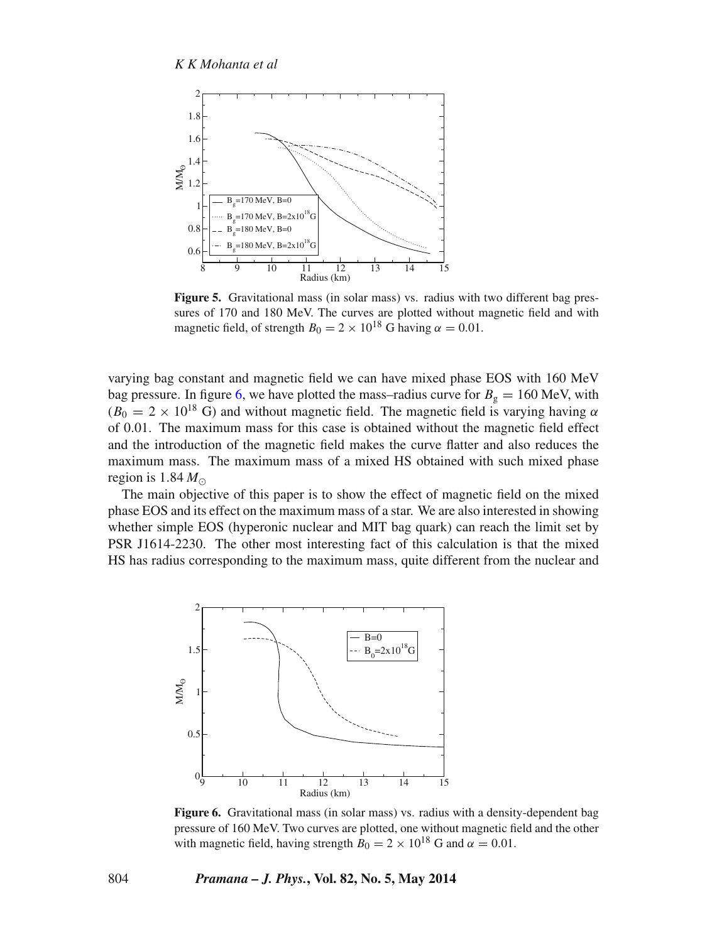<span id="page-7-0"></span>

**Figure 5.** Gravitational mass (in solar mass) vs. radius with two different bag pressures of 170 and 180 MeV. The curves are plotted without magnetic field and with magnetic field, of strength  $B_0 = 2 \times 10^{18}$  G having  $\alpha = 0.01$ .

varying bag constant and magnetic field we can have mixed phase EOS with 160 MeV bag pressure. In figure [6,](#page-7-1) we have plotted the mass–radius curve for  $B_g = 160$  MeV, with  $(B_0 = 2 \times 10^{18} \text{ G})$  and without magnetic field. The magnetic field is varying having  $\alpha$ of 0*.*01. The maximum mass for this case is obtained without the magnetic field effect and the introduction of the magnetic field makes the curve flatter and also reduces the maximum mass. The maximum mass of a mixed HS obtained with such mixed phase region is 1.84  $M_{\odot}$ 

The main objective of this paper is to show the effect of magnetic field on the mixed phase EOS and its effect on the maximum mass of a star. We are also interested in showing whether simple EOS (hyperonic nuclear and MIT bag quark) can reach the limit set by PSR J1614-2230. The other most interesting fact of this calculation is that the mixed HS has radius corresponding to the maximum mass, quite different from the nuclear and

<span id="page-7-1"></span>

**Figure 6.** Gravitational mass (in solar mass) vs. radius with a density-dependent bag pressure of 160 MeV. Two curves are plotted, one without magnetic field and the other with magnetic field, having strength  $B_0 = 2 \times 10^{18}$  G and  $\alpha = 0.01$ .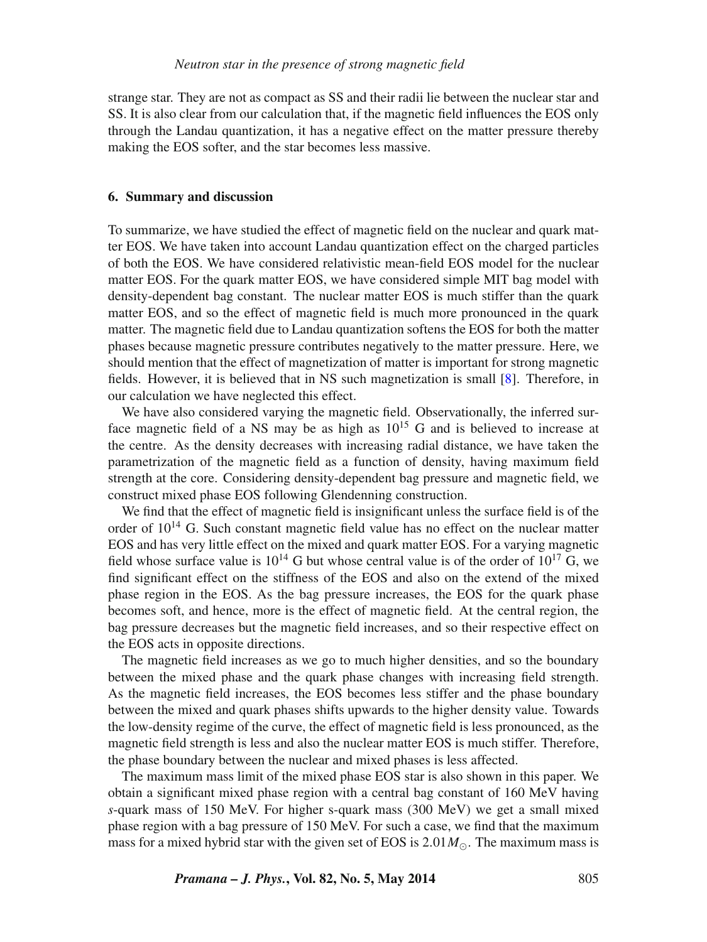strange star. They are not as compact as SS and their radii lie between the nuclear star and SS. It is also clear from our calculation that, if the magnetic field influences the EOS only through the Landau quantization, it has a negative effect on the matter pressure thereby making the EOS softer, and the star becomes less massive.

# <span id="page-8-0"></span>**6. Summary and discussion**

To summarize, we have studied the effect of magnetic field on the nuclear and quark matter EOS. We have taken into account Landau quantization effect on the charged particles of both the EOS. We have considered relativistic mean-field EOS model for the nuclear matter EOS. For the quark matter EOS, we have considered simple MIT bag model with density-dependent bag constant. The nuclear matter EOS is much stiffer than the quark matter EOS, and so the effect of magnetic field is much more pronounced in the quark matter. The magnetic field due to Landau quantization softens the EOS for both the matter phases because magnetic pressure contributes negatively to the matter pressure. Here, we should mention that the effect of magnetization of matter is important for strong magnetic fields. However, it is believed that in NS such magnetization is small [\[8\]](#page-9-7). Therefore, in our calculation we have neglected this effect.

We have also considered varying the magnetic field. Observationally, the inferred surface magnetic field of a NS may be as high as  $10^{15}$  G and is believed to increase at the centre. As the density decreases with increasing radial distance, we have taken the parametrization of the magnetic field as a function of density, having maximum field strength at the core. Considering density-dependent bag pressure and magnetic field, we construct mixed phase EOS following Glendenning construction.

We find that the effect of magnetic field is insignificant unless the surface field is of the order of  $10^{14}$  G. Such constant magnetic field value has no effect on the nuclear matter EOS and has very little effect on the mixed and quark matter EOS. For a varying magnetic field whose surface value is  $10^{14}$  G but whose central value is of the order of  $10^{17}$  G, we find significant effect on the stiffness of the EOS and also on the extend of the mixed phase region in the EOS. As the bag pressure increases, the EOS for the quark phase becomes soft, and hence, more is the effect of magnetic field. At the central region, the bag pressure decreases but the magnetic field increases, and so their respective effect on the EOS acts in opposite directions.

The magnetic field increases as we go to much higher densities, and so the boundary between the mixed phase and the quark phase changes with increasing field strength. As the magnetic field increases, the EOS becomes less stiffer and the phase boundary between the mixed and quark phases shifts upwards to the higher density value. Towards the low-density regime of the curve, the effect of magnetic field is less pronounced, as the magnetic field strength is less and also the nuclear matter EOS is much stiffer. Therefore, the phase boundary between the nuclear and mixed phases is less affected.

The maximum mass limit of the mixed phase EOS star is also shown in this paper. We obtain a significant mixed phase region with a central bag constant of 160 MeV having *s*-quark mass of 150 MeV. For higher s-quark mass (300 MeV) we get a small mixed phase region with a bag pressure of 150 MeV. For such a case, we find that the maximum mass for a mixed hybrid star with the given set of EOS is  $2.01 M_{\odot}$ . The maximum mass is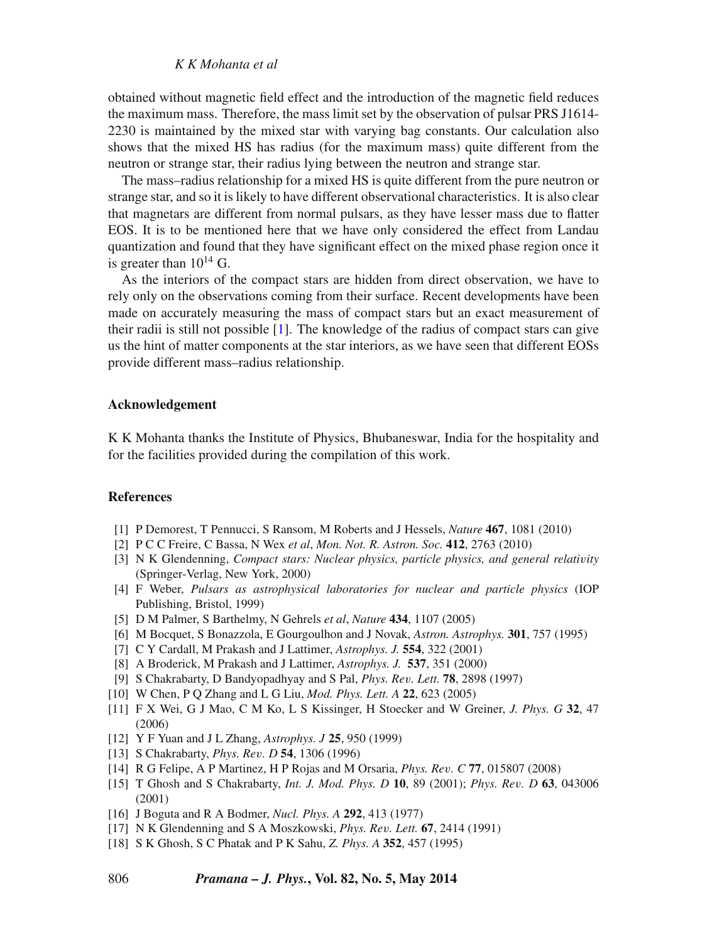# *K K Mohanta et al*

obtained without magnetic field effect and the introduction of the magnetic field reduces the maximum mass. Therefore, the mass limit set by the observation of pulsar PRS J1614- 2230 is maintained by the mixed star with varying bag constants. Our calculation also shows that the mixed HS has radius (for the maximum mass) quite different from the neutron or strange star, their radius lying between the neutron and strange star.

The mass–radius relationship for a mixed HS is quite different from the pure neutron or strange star, and so it is likely to have different observational characteristics. It is also clear that magnetars are different from normal pulsars, as they have lesser mass due to flatter EOS. It is to be mentioned here that we have only considered the effect from Landau quantization and found that they have significant effect on the mixed phase region once it is greater than  $10^{14}$  G.

As the interiors of the compact stars are hidden from direct observation, we have to rely only on the observations coming from their surface. Recent developments have been made on accurately measuring the mass of compact stars but an exact measurement of their radii is still not possible [\[1\]](#page-9-0). The knowledge of the radius of compact stars can give us the hint of matter components at the star interiors, as we have seen that different EOSs provide different mass–radius relationship.

# **Acknowledgement**

K K Mohanta thanks the Institute of Physics, Bhubaneswar, India for the hospitality and for the facilities provided during the compilation of this work.

## **References**

- <span id="page-9-0"></span>[1] P Demorest, T Pennucci, S Ransom, M Roberts and J Hessels, *Nature* **467**, 1081 (2010)
- <span id="page-9-1"></span>[2] P C C Freire, C Bassa, N Wex *et al*, *Mon. Not. R. Astron. Soc.* **412**, 2763 (2010)
- <span id="page-9-2"></span>[3] N K Glendenning, *Compact stars: Nuclear physics, particle physics, and general relativity* (Springer-Verlag, New York, 2000)
- <span id="page-9-3"></span>[4] F Weber, *Pulsars as astrophysical laboratories for nuclear and particle physics* (IOP Publishing, Bristol, 1999)
- <span id="page-9-4"></span>[5] D M Palmer, S Barthelmy, N Gehrels *et al*, *Nature* **434**, 1107 (2005)
- <span id="page-9-5"></span>[6] M Bocquet, S Bonazzola, E Gourgoulhon and J Novak, *Astron. Astrophys.* **301**, 757 (1995)
- <span id="page-9-6"></span>[7] C Y Cardall, M Prakash and J Lattimer, *Astrophys. J.* **554**, 322 (2001)
- <span id="page-9-7"></span>[8] A Broderick, M Prakash and J Lattimer, *Astrophys. J.* **537**, 351 (2000)
- <span id="page-9-12"></span>[9] S Chakrabarty, D Bandyopadhyay and S Pal, *Phys. Rev. Lett.* **78**, 2898 (1997)
- [10] W Chen, P Q Zhang and L G Liu, *Mod. Phys. Lett. A* **22**, 623 (2005)
- [11] F X Wei, G J Mao, C M Ko, L S Kissinger, H Stoecker and W Greiner, *J. Phys. G* **32**, 47 (2006)
- <span id="page-9-8"></span>[12] Y F Yuan and J L Zhang, *Astrophys. J* **25**, 950 (1999)
- <span id="page-9-9"></span>[13] S Chakrabarty, *Phys. Rev. D* **54**, 1306 (1996)
- [14] R G Felipe, A P Martinez, H P Rojas and M Orsaria, *Phys. Rev. C* **77**, 015807 (2008)
- <span id="page-9-10"></span>[15] T Ghosh and S Chakrabarty, *Int. J. Mod. Phys. D* **10**, 89 (2001); *Phys. Rev. D* **63**, 043006 (2001)
- <span id="page-9-11"></span>[16] J Boguta and R A Bodmer, *Nucl. Phys. A* **292**, 413 (1977)
- [17] N K Glendenning and S A Moszkowski, *Phys. Rev. Lett.* **67**, 2414 (1991)
- [18] S K Ghosh, S C Phatak and P K Sahu, *Z. Phys. A* **352**, 457 (1995)